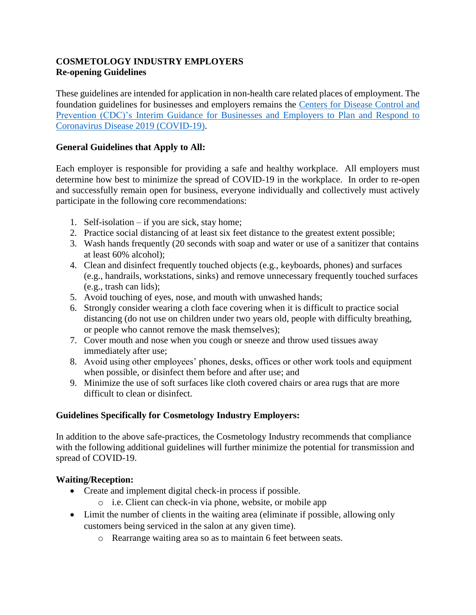### **COSMETOLOGY INDUSTRY EMPLOYERS Re-opening Guidelines**

These guidelines are intended for application in non-health care related places of employment. The foundation guidelines for businesses and employers remains the [Centers for Disease Control and](https://www.cdc.gov/coronavirus/2019-ncov/community/guidance-business-response.html)  [Prevention \(CDC\)'s Interim Guidance for Businesses and Employers to Plan and Respond to](https://www.cdc.gov/coronavirus/2019-ncov/community/guidance-business-response.html)  [Coronavirus Disease 2019 \(COVID-19\).](https://www.cdc.gov/coronavirus/2019-ncov/community/guidance-business-response.html)

### **General Guidelines that Apply to All:**

Each employer is responsible for providing a safe and healthy workplace. All employers must determine how best to minimize the spread of COVID-19 in the workplace. In order to re-open and successfully remain open for business, everyone individually and collectively must actively participate in the following core recommendations:

- 1. Self-isolation if you are sick, stay home;
- 2. Practice social distancing of at least six feet distance to the greatest extent possible;
- 3. Wash hands frequently (20 seconds with soap and water or use of a sanitizer that contains at least 60% alcohol);
- 4. Clean and disinfect frequently touched objects (e.g., keyboards, phones) and surfaces (e.g., handrails, workstations, sinks) and remove unnecessary frequently touched surfaces (e.g., trash can lids);
- 5. Avoid touching of eyes, nose, and mouth with unwashed hands;
- 6. Strongly consider wearing a cloth face covering when it is difficult to practice social distancing (do not use on children under two years old, people with difficulty breathing, or people who cannot remove the mask themselves);
- 7. Cover mouth and nose when you cough or sneeze and throw used tissues away immediately after use;
- 8. Avoid using other employees' phones, desks, offices or other work tools and equipment when possible, or disinfect them before and after use; and
- 9. Minimize the use of soft surfaces like cloth covered chairs or area rugs that are more difficult to clean or disinfect.

#### **Guidelines Specifically for Cosmetology Industry Employers:**

In addition to the above safe-practices, the Cosmetology Industry recommends that compliance with the following additional guidelines will further minimize the potential for transmission and spread of COVID-19.

#### **Waiting/Reception:**

- Create and implement digital check-in process if possible.
	- o i.e. Client can check-in via phone, website, or mobile app
- Limit the number of clients in the waiting area (eliminate if possible, allowing only customers being serviced in the salon at any given time).
	- o Rearrange waiting area so as to maintain 6 feet between seats.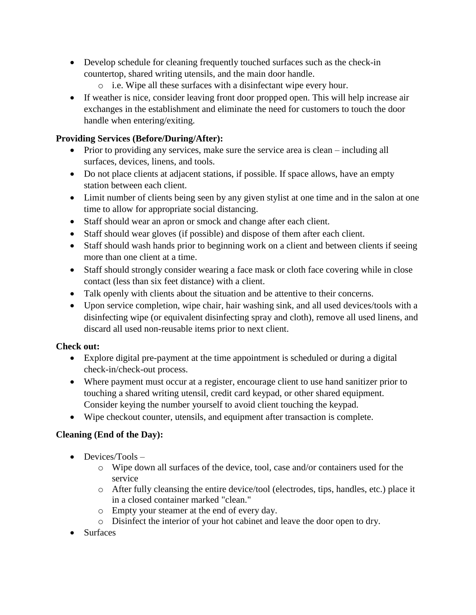- Develop schedule for cleaning frequently touched surfaces such as the check-in countertop, shared writing utensils, and the main door handle.
	- o i.e. Wipe all these surfaces with a disinfectant wipe every hour.
- If weather is nice, consider leaving front door propped open. This will help increase air exchanges in the establishment and eliminate the need for customers to touch the door handle when entering/exiting.

# **Providing Services (Before/During/After):**

- Prior to providing any services, make sure the service area is clean including all surfaces, devices, linens, and tools.
- Do not place clients at adjacent stations, if possible. If space allows, have an empty station between each client.
- Limit number of clients being seen by any given stylist at one time and in the salon at one time to allow for appropriate social distancing.
- Staff should wear an apron or smock and change after each client.
- Staff should wear gloves (if possible) and dispose of them after each client.
- Staff should wash hands prior to beginning work on a client and between clients if seeing more than one client at a time.
- Staff should strongly consider wearing a face mask or cloth face covering while in close contact (less than six feet distance) with a client.
- Talk openly with clients about the situation and be attentive to their concerns.
- Upon service completion, wipe chair, hair washing sink, and all used devices/tools with a disinfecting wipe (or equivalent disinfecting spray and cloth), remove all used linens, and discard all used non-reusable items prior to next client.

# **Check out:**

- Explore digital pre-payment at the time appointment is scheduled or during a digital check-in/check-out process.
- Where payment must occur at a register, encourage client to use hand sanitizer prior to touching a shared writing utensil, credit card keypad, or other shared equipment. Consider keying the number yourself to avoid client touching the keypad.
- Wipe checkout counter, utensils, and equipment after transaction is complete.

# **Cleaning (End of the Day):**

- Devices/Tools
	- o Wipe down all surfaces of the device, tool, case and/or containers used for the service
	- o After fully cleansing the entire device/tool (electrodes, tips, handles, etc.) place it in a closed container marked "clean."
	- o Empty your steamer at the end of every day.
	- o Disinfect the interior of your hot cabinet and leave the door open to dry.
- Surfaces